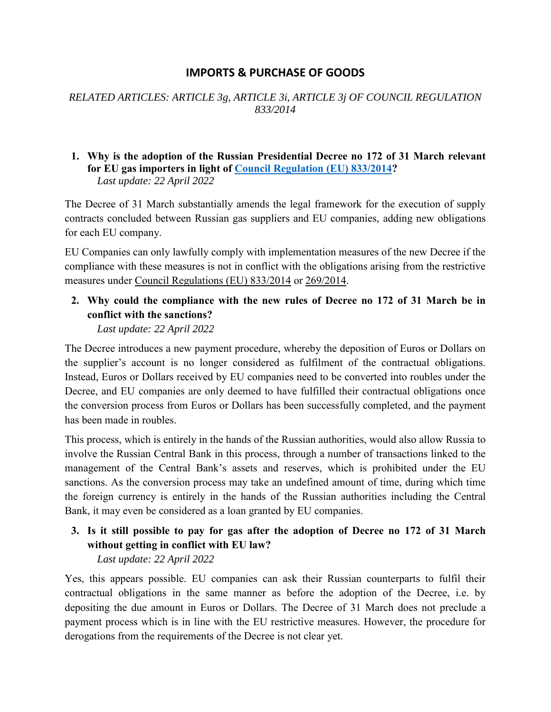## **IMPORTS & PURCHASE OF GOODS**

### *RELATED ARTICLES: ARTICLE 3g, ARTICLE 3i, ARTICLE 3j OF COUNCIL REGULATION 833/2014*

#### **1. Why is the adoption of the Russian Presidential Decree no 172 of 31 March relevant for EU gas importers in light of [Council Regulation \(EU\) 833/2014?](https://eur-lex.europa.eu/legal-content/EN/TXT/?https://eur-lex.europa.eu/legal-content/EN/TXT/?uri=CELEX:02014R0833-20220316uri=CELEX:02014R0833-20220316)** *Last update: 22 April 2022*

The Decree of 31 March substantially amends the legal framework for the execution of supply contracts concluded between Russian gas suppliers and EU companies, adding new obligations for each EU company.

EU Companies can only lawfully comply with implementation measures of the new Decree if the compliance with these measures is not in conflict with the obligations arising from the restrictive measures under [Council Regulations \(EU\) 833/2014](https://eur-lex.europa.eu/legal-content/EN/TXT/?uri=CELEX:02014R0833-20220316) or [269/2014.](https://eur-lex.europa.eu/legal-content/EN/TXT/?uri=CELEX:02014R0269-20220315)

# **2. Why could the compliance with the new rules of Decree no 172 of 31 March be in conflict with the sanctions?**

*Last update: 22 April 2022*

The Decree introduces a new payment procedure, whereby the deposition of Euros or Dollars on the supplier's account is no longer considered as fulfilment of the contractual obligations. Instead, Euros or Dollars received by EU companies need to be converted into roubles under the Decree, and EU companies are only deemed to have fulfilled their contractual obligations once the conversion process from Euros or Dollars has been successfully completed, and the payment has been made in roubles.

This process, which is entirely in the hands of the Russian authorities, would also allow Russia to involve the Russian Central Bank in this process, through a number of transactions linked to the management of the Central Bank's assets and reserves, which is prohibited under the EU sanctions. As the conversion process may take an undefined amount of time, during which time the foreign currency is entirely in the hands of the Russian authorities including the Central Bank, it may even be considered as a loan granted by EU companies.

# **3. Is it still possible to pay for gas after the adoption of Decree no 172 of 31 March without getting in conflict with EU law?**

### *Last update: 22 April 2022*

Yes, this appears possible. EU companies can ask their Russian counterparts to fulfil their contractual obligations in the same manner as before the adoption of the Decree, i.e. by depositing the due amount in Euros or Dollars. The Decree of 31 March does not preclude a payment process which is in line with the EU restrictive measures. However, the procedure for derogations from the requirements of the Decree is not clear yet.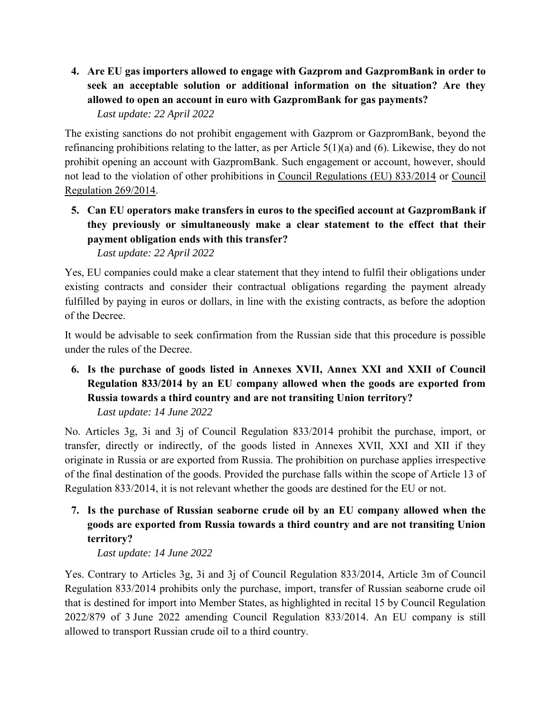**4. Are EU gas importers allowed to engage with Gazprom and GazpromBank in order to seek an acceptable solution or additional information on the situation? Are they allowed to open an account in euro with GazpromBank for gas payments?**

*Last update: 22 April 2022*

The existing sanctions do not prohibit engagement with Gazprom or GazpromBank, beyond the refinancing prohibitions relating to the latter, as per Article 5(1)(a) and (6). Likewise, they do not prohibit opening an account with GazpromBank. Such engagement or account, however, should not lead to the violation of other prohibitions in [Council Regulations \(EU\) 833/2014](https://eur-lex.europa.eu/legal-content/EN/TXT/?uri=CELEX:02014R0833-20220316) or [Council](https://eur-lex.europa.eu/legal-content/EN/TXT/?uri=CELEX:02014R0269-20220315) [Regulation 269/2014.](https://eur-lex.europa.eu/legal-content/EN/TXT/?uri=CELEX:02014R0269-20220315)

**5. Can EU operators make transfers in euros to the specified account at GazpromBank if they previously or simultaneously make a clear statement to the effect that their payment obligation ends with this transfer?**

*Last update: 22 April 2022*

Yes, EU companies could make a clear statement that they intend to fulfil their obligations under existing contracts and consider their contractual obligations regarding the payment already fulfilled by paying in euros or dollars, in line with the existing contracts, as before the adoption of the Decree.

It would be advisable to seek confirmation from the Russian side that this procedure is possible under the rules of the Decree.

**6. Is the purchase of goods listed in Annexes XVII, Annex XXI and XXII of Council Regulation 833/2014 by an EU company allowed when the goods are exported from Russia towards a third country and are not transiting Union territory?** *Last update: 14 June 2022*

No. Articles 3g, 3i and 3j of Council Regulation 833/2014 prohibit the purchase, import, or transfer, directly or indirectly, of the goods listed in Annexes XVII, XXI and XII if they originate in Russia or are exported from Russia. The prohibition on purchase applies irrespective of the final destination of the goods. Provided the purchase falls within the scope of Article 13 of Regulation 833/2014, it is not relevant whether the goods are destined for the EU or not.

**7. Is the purchase of Russian seaborne crude oil by an EU company allowed when the goods are exported from Russia towards a third country and are not transiting Union territory?**

*Last update: 14 June 2022*

Yes. Contrary to Articles 3g, 3i and 3j of Council Regulation 833/2014, Article 3m of Council Regulation 833/2014 prohibits only the purchase, import, transfer of Russian seaborne crude oil that is destined for import into Member States, as highlighted in recital 15 by Council Regulation 2022/879 of 3 June 2022 amending Council Regulation 833/2014. An EU company is still allowed to transport Russian crude oil to a third country.